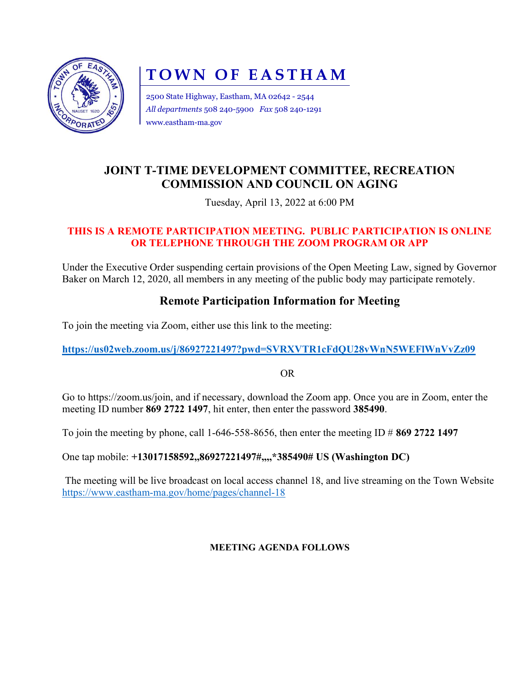

# TOWN OF EASTHAM

2500 State Highway, Eastham, MA 02642 - 2544 All departments 508 240-5900 Fax 508 240-1291 www.eastham-ma.gov

## JOINT T-TIME DEVELOPMENT COMMITTEE, RECREATION COMMISSION AND COUNCIL ON AGING

Tuesday, April 13, 2022 at 6:00 PM

#### THIS IS A REMOTE PARTICIPATION MEETING. PUBLIC PARTICIPATION IS ONLINE OR TELEPHONE THROUGH THE ZOOM PROGRAM OR APP

Under the Executive Order suspending certain provisions of the Open Meeting Law, signed by Governor Baker on March 12, 2020, all members in any meeting of the public body may participate remotely.

### Remote Participation Information for Meeting

To join the meeting via Zoom, either use this link to the meeting:

https://us02web.zoom.us/j/86927221497?pwd=SVRXVTR1cFdQU28vWnN5WEFlWnVvZz09

OR

Go to https://zoom.us/join, and if necessary, download the Zoom app. Once you are in Zoom, enter the meeting ID number 869 2722 1497, hit enter, then enter the password 385490.

To join the meeting by phone, call 1-646-558-8656, then enter the meeting ID  $\#$  869 2722 1497

One tap mobile: +13017158592,,86927221497#,,,,\*385490# US (Washington DC)

The meeting will be live broadcast on local access channel 18, and live streaming on the Town Website https://www.eastham-ma.gov/home/pages/channel-18

#### MEETING AGENDA FOLLOWS